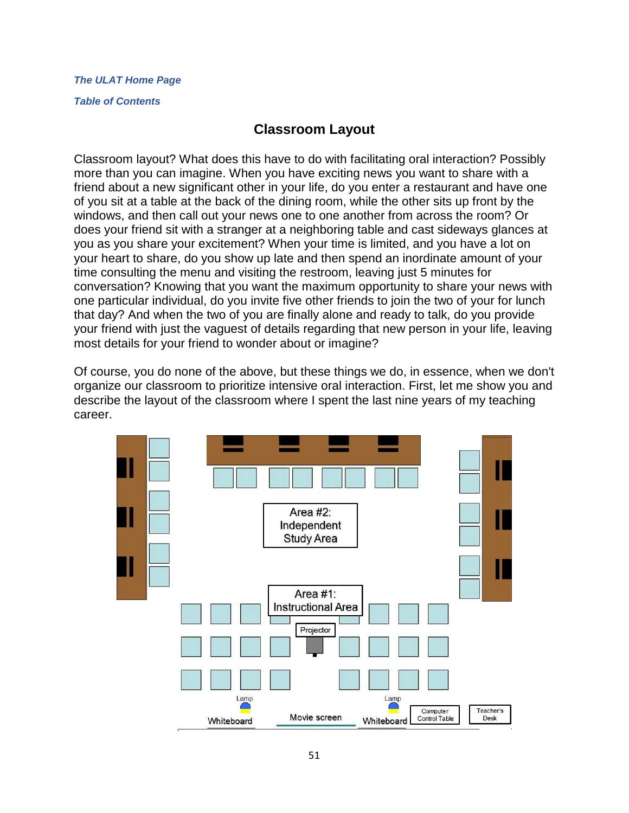### *[The ULAT Home Page](http://www.theulat.com/)*

#### *[Table of Contents](http://www.theulat.com/INOTHERWORDS/CONTENTS.PDF)*

## **Classroom Layout**

Classroom layout? What does this have to do with facilitating oral interaction? Possibly more than you can imagine. When you have exciting news you want to share with a friend about a new significant other in your life, do you enter a restaurant and have one of you sit at a table at the back of the dining room, while the other sits up front by the windows, and then call out your news one to one another from across the room? Or does your friend sit with a stranger at a neighboring table and cast sideways glances at you as you share your excitement? When your time is limited, and you have a lot on your heart to share, do you show up late and then spend an inordinate amount of your time consulting the menu and visiting the restroom, leaving just 5 minutes for conversation? Knowing that you want the maximum opportunity to share your news with one particular individual, do you invite five other friends to join the two of your for lunch that day? And when the two of you are finally alone and ready to talk, do you provide your friend with just the vaguest of details regarding that new person in your life, leaving most details for your friend to wonder about or imagine?

Of course, you do none of the above, but these things we do, in essence, when we don't organize our classroom to prioritize intensive oral interaction. First, let me show you and describe the layout of the classroom where I spent the last nine years of my teaching career.

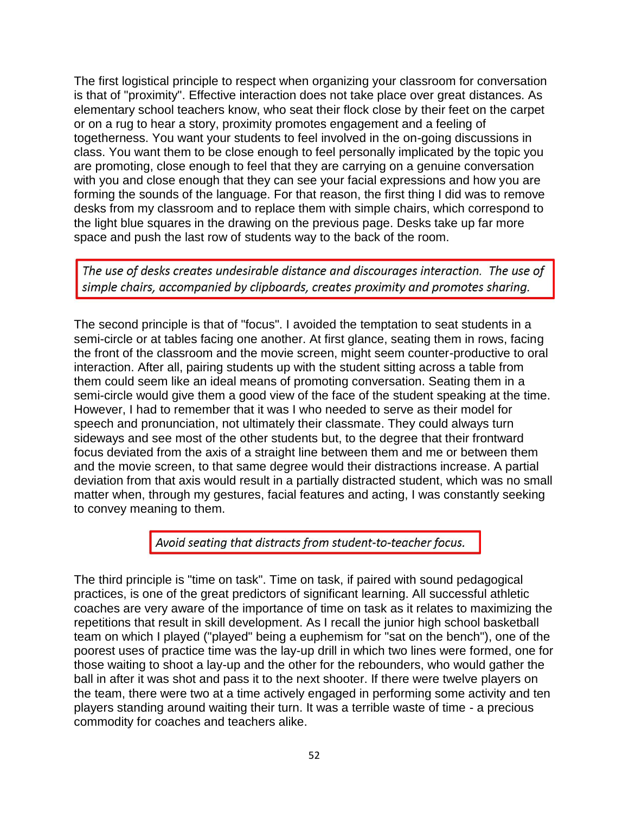The first logistical principle to respect when organizing your classroom for conversation is that of "proximity". Effective interaction does not take place over great distances. As elementary school teachers know, who seat their flock close by their feet on the carpet or on a rug to hear a story, proximity promotes engagement and a feeling of togetherness. You want your students to feel involved in the on-going discussions in class. You want them to be close enough to feel personally implicated by the topic you are promoting, close enough to feel that they are carrying on a genuine conversation with you and close enough that they can see your facial expressions and how you are forming the sounds of the language. For that reason, the first thing I did was to remove desks from my classroom and to replace them with simple chairs, which correspond to the light blue squares in the drawing on the previous page. Desks take up far more space and push the last row of students way to the back of the room.

The use of desks creates undesirable distance and discourages interaction. The use of simple chairs, accompanied by clipboards, creates proximity and promotes sharing.

The second principle is that of "focus". I avoided the temptation to seat students in a semi-circle or at tables facing one another. At first glance, seating them in rows, facing the front of the classroom and the movie screen, might seem counter-productive to oral interaction. After all, pairing students up with the student sitting across a table from them could seem like an ideal means of promoting conversation. Seating them in a semi-circle would give them a good view of the face of the student speaking at the time. However, I had to remember that it was I who needed to serve as their model for speech and pronunciation, not ultimately their classmate. They could always turn sideways and see most of the other students but, to the degree that their frontward focus deviated from the axis of a straight line between them and me or between them and the movie screen, to that same degree would their distractions increase. A partial deviation from that axis would result in a partially distracted student, which was no small matter when, through my gestures, facial features and acting, I was constantly seeking to convey meaning to them.

### Avoid seating that distracts from student-to-teacher focus.

The third principle is "time on task". Time on task, if paired with sound pedagogical practices, is one of the great predictors of significant learning. All successful athletic coaches are very aware of the importance of time on task as it relates to maximizing the repetitions that result in skill development. As I recall the junior high school basketball team on which I played ("played" being a euphemism for "sat on the bench"), one of the poorest uses of practice time was the lay-up drill in which two lines were formed, one for those waiting to shoot a lay-up and the other for the rebounders, who would gather the ball in after it was shot and pass it to the next shooter. If there were twelve players on the team, there were two at a time actively engaged in performing some activity and ten players standing around waiting their turn. It was a terrible waste of time - a precious commodity for coaches and teachers alike.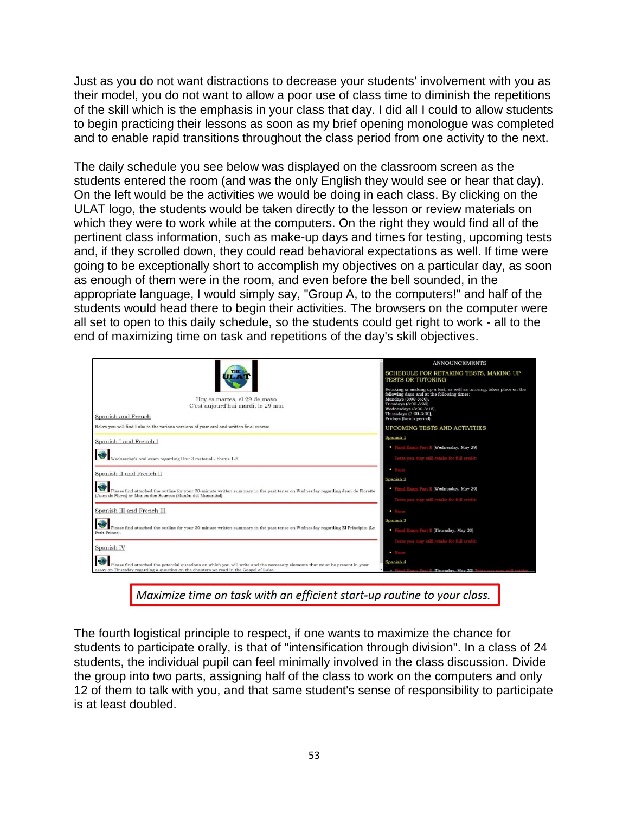Just as you do not want distractions to decrease your students' involvement with you as their model, you do not want to allow a poor use of class time to diminish the repetitions of the skill which is the emphasis in your class that day. I did all I could to allow students to begin practicing their lessons as soon as my brief opening monologue was completed and to enable rapid transitions throughout the class period from one activity to the next.

The daily schedule you see below was displayed on the classroom screen as the students entered the room (and was the only English they would see or hear that day). On the left would be the activities we would be doing in each class. By clicking on the ULAT logo, the students would be taken directly to the lesson or review materials on which they were to work while at the computers. On the right they would find all of the pertinent class information, such as make-up days and times for testing, upcoming tests and, if they scrolled down, they could read behavioral expectations as well. If time were going to be exceptionally short to accomplish my objectives on a particular day, as soon as enough of them were in the room, and even before the bell sounded, in the appropriate language, I would simply say, "Group A, to the computers!" and half of the students would head there to begin their activities. The browsers on the computer were all set to open to this daily schedule, so the students could get right to work - all to the end of maximizing time on task and repetitions of the day's skill objectives.

| Hov es martes, el 29 de mavo<br>C'est aujourd'hui mardi, le 29 mai<br>Spanish and French                                                                                                                                                                                                                                                            | <b>ANNOUNCEMENTS</b><br>SCHEDULE FOR RETAKING TESTS, MAKING UP<br><b>TESTS OR TUTORING</b><br>Retaking or making up a test, as well as tutoring, takes place on the<br>following days and at the following times:<br>Mondays (3:00-3:30).<br>Tuesdays (3:00-3:30).<br>Wednesdays (3:00-3:15),<br>Thursdays (3:00-3:30),<br>Fridays (lunch period). |
|-----------------------------------------------------------------------------------------------------------------------------------------------------------------------------------------------------------------------------------------------------------------------------------------------------------------------------------------------------|----------------------------------------------------------------------------------------------------------------------------------------------------------------------------------------------------------------------------------------------------------------------------------------------------------------------------------------------------|
| Below you will find links to the various versions of your oral and written final exams:                                                                                                                                                                                                                                                             | <b>UPCOMING TESTS AND ACTIVITIES</b>                                                                                                                                                                                                                                                                                                               |
| Spanish I and French I                                                                                                                                                                                                                                                                                                                              | Spanish 1                                                                                                                                                                                                                                                                                                                                          |
|                                                                                                                                                                                                                                                                                                                                                     | • Final Exam Part II (Wednesday, May 29)                                                                                                                                                                                                                                                                                                           |
| $\begin{picture}(150,10) \put(0,0){\line(1,0){10}} \put(0,0){\line(1,0){10}} \put(15,0){\line(1,0){10}} \put(15,0){\line(1,0){10}} \put(15,0){\line(1,0){10}} \put(15,0){\line(1,0){10}} \put(15,0){\line(1,0){10}} \put(15,0){\line(1,0){10}} \put(15,0){\line(1,0){10}} \put(15,0){\line(1,0){10}} \put(15,0){\line(1,0){10}} \put(15,0){\line(1$ | Tests you may still retake for full credit:                                                                                                                                                                                                                                                                                                        |
| Spanish II and French II                                                                                                                                                                                                                                                                                                                            | $\bullet$ None                                                                                                                                                                                                                                                                                                                                     |
|                                                                                                                                                                                                                                                                                                                                                     | Spanish 2                                                                                                                                                                                                                                                                                                                                          |
| Please find attached the outline for your 30-minute written summary in the past tense on Wednesday regarding Jean de Florette<br>(Juan de Floret) or Manon des Sources (Manón del Manantial).                                                                                                                                                       | • Final Exam Part II (Wednesday, May 29)<br>Tests you may still retake for full credit:                                                                                                                                                                                                                                                            |
| Spanish III and French III                                                                                                                                                                                                                                                                                                                          | $\bullet$ None                                                                                                                                                                                                                                                                                                                                     |
|                                                                                                                                                                                                                                                                                                                                                     | Spanish <sub>3</sub>                                                                                                                                                                                                                                                                                                                               |
| Please find attached the outline for your 30-minute written summary in the past tense on Wednesday regarding El Principito (Le<br>Petit Prince).                                                                                                                                                                                                    | • Final Exam Part II (Thursday, May 30)                                                                                                                                                                                                                                                                                                            |
| Spanish <sub>IV</sub>                                                                                                                                                                                                                                                                                                                               | Tests you may still retake for full credit:                                                                                                                                                                                                                                                                                                        |
|                                                                                                                                                                                                                                                                                                                                                     | · None                                                                                                                                                                                                                                                                                                                                             |
| Please find attached the potential questions on which you will write and the necessary elements that must be present in your<br>essay on Thursday regarding a question on the chapters we read in the Gospel of Luke.                                                                                                                               | Spanish 4<br>am Part II (Thursday, May 30)                                                                                                                                                                                                                                                                                                         |

Maximize time on task with an efficient start-up routine to your class.

The fourth logistical principle to respect, if one wants to maximize the chance for students to participate orally, is that of "intensification through division". In a class of 24 students, the individual pupil can feel minimally involved in the class discussion. Divide the group into two parts, assigning half of the class to work on the computers and only 12 of them to talk with you, and that same student's sense of responsibility to participate is at least doubled.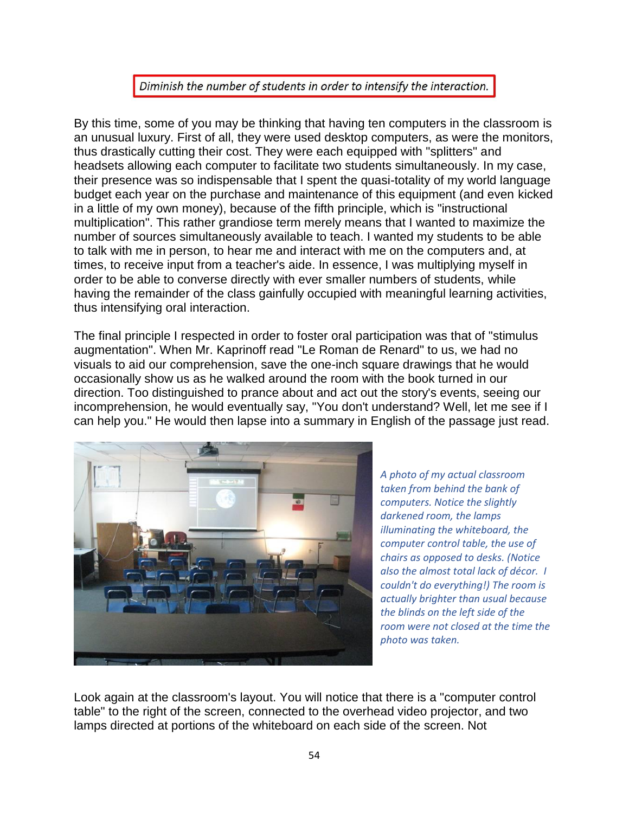## Diminish the number of students in order to intensify the interaction.

By this time, some of you may be thinking that having ten computers in the classroom is an unusual luxury. First of all, they were used desktop computers, as were the monitors, thus drastically cutting their cost. They were each equipped with "splitters" and headsets allowing each computer to facilitate two students simultaneously. In my case, their presence was so indispensable that I spent the quasi-totality of my world language budget each year on the purchase and maintenance of this equipment (and even kicked in a little of my own money), because of the fifth principle, which is "instructional multiplication". This rather grandiose term merely means that I wanted to maximize the number of sources simultaneously available to teach. I wanted my students to be able to talk with me in person, to hear me and interact with me on the computers and, at times, to receive input from a teacher's aide. In essence, I was multiplying myself in order to be able to converse directly with ever smaller numbers of students, while having the remainder of the class gainfully occupied with meaningful learning activities, thus intensifying oral interaction.

The final principle I respected in order to foster oral participation was that of "stimulus augmentation". When Mr. Kaprinoff read "Le Roman de Renard" to us, we had no visuals to aid our comprehension, save the one-inch square drawings that he would occasionally show us as he walked around the room with the book turned in our direction. Too distinguished to prance about and act out the story's events, seeing our incomprehension, he would eventually say, "You don't understand? Well, let me see if I can help you." He would then lapse into a summary in English of the passage just read.



*A photo of my actual classroom taken from behind the bank of computers. Notice the slightly darkened room, the lamps illuminating the whiteboard, the computer control table, the use of chairs as opposed to desks. (Notice also the almost total lack of décor. I couldn't do everything!) The room is actually brighter than usual because the blinds on the left side of the room were not closed at the time the photo was taken.*

Look again at the classroom's layout. You will notice that there is a "computer control table" to the right of the screen, connected to the overhead video projector, and two lamps directed at portions of the whiteboard on each side of the screen. Not